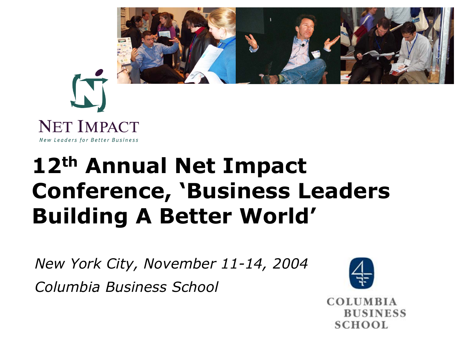



# **12th Annual Net Impact Conference, 'Business Leaders Building A Better World'**

*New York City, November 11-14, 2004 Columbia Business School*



**COLUMBIA BUSINESS SCHOOL**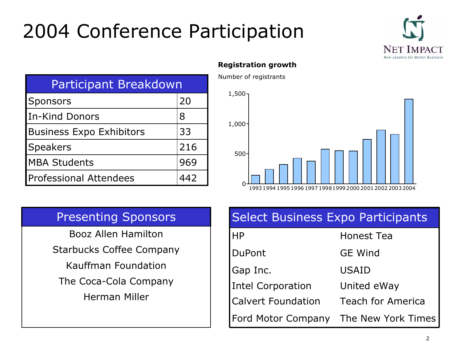# 2004 Conference Participation



| <b>Participant Breakdown</b>    |     |  |
|---------------------------------|-----|--|
| <b>Sponsors</b>                 | 20  |  |
| <b>In-Kind Donors</b>           | 8   |  |
| <b>Business Expo Exhibitors</b> | 33  |  |
| <b>Speakers</b>                 | 216 |  |
| <b>MBA Students</b>             | 969 |  |
| <b>Professional Attendees</b>   | 442 |  |

#### **Registration growth**

Number of registrants



### **Presenting Sponsors**

**Booz Allen Hamilton Starbucks Coffee Company** Kauffman Foundation The Coca-Cola Company **Herman Miller** 

| POCICCE DUSINICSS EXPOSITATE COPUNICS        |                          |  |
|----------------------------------------------|--------------------------|--|
| <b>HP</b>                                    | <b>Honest Tea</b>        |  |
| DuPont                                       | <b>GE Wind</b>           |  |
| Gap Inc.                                     | <b>USAID</b>             |  |
| Intel Corporation                            | United eWay              |  |
| Calvert Foundation                           | <b>Teach for America</b> |  |
| <b>Ford Motor Company The New York Times</b> |                          |  |

Select Business Eyno Particinants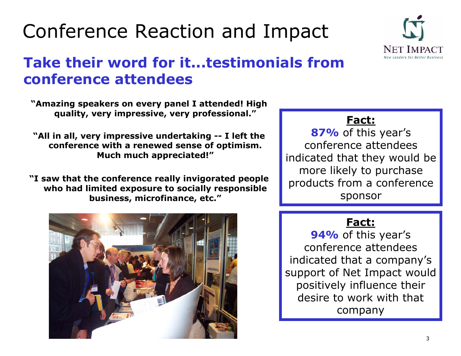# Conference Reaction and Impact



## **Take their word for it...testimonials from** conference attendees

"Amazing speakers on every panel I attended! High quality, very impressive, very professional."

"All in all, very impressive undertaking -- I left the conference with a renewed sense of optimism. Much much appreciated!"

"I saw that the conference really invigorated people who had limited exposure to socially responsible business, microfinance, etc."



## **Fact:**

87% of this year's conference attendees indicated that they would be more likely to purchase products from a conference sponsor

## Fact:

94% of this year's conference attendees indicated that a company's support of Net Impact would positively influence their desire to work with that company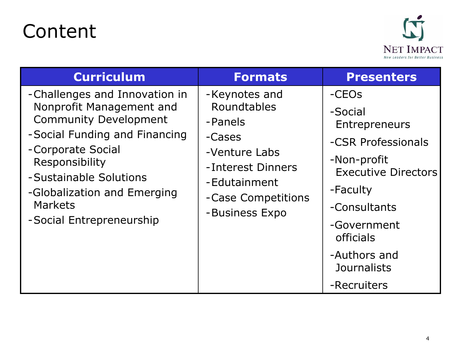## Content



| <b>Curriculum</b>                                                                                                                                                                                                                                                        | <b>Formats</b>                                                                                                                                  | <b>Presenters</b>                                                                                                                                                                                                        |
|--------------------------------------------------------------------------------------------------------------------------------------------------------------------------------------------------------------------------------------------------------------------------|-------------------------------------------------------------------------------------------------------------------------------------------------|--------------------------------------------------------------------------------------------------------------------------------------------------------------------------------------------------------------------------|
| -Challenges and Innovation in<br>Nonprofit Management and<br><b>Community Development</b><br>-Social Funding and Financing<br>-Corporate Social<br>Responsibility<br>-Sustainable Solutions<br>-Globalization and Emerging<br><b>Markets</b><br>-Social Entrepreneurship | -Keynotes and<br>Roundtables<br>-Panels<br>-Cases<br>-Venture Labs<br>-Interest Dinners<br>-Edutainment<br>-Case Competitions<br>-Business Expo | -CEOs<br>-Social<br>Entrepreneurs<br>-CSR Professionals<br>-Non-profit<br><b>Executive Directors</b><br>-Faculty<br>-Consultants<br>-Government<br><b>officials</b><br>-Authors and<br><b>Journalists</b><br>-Recruiters |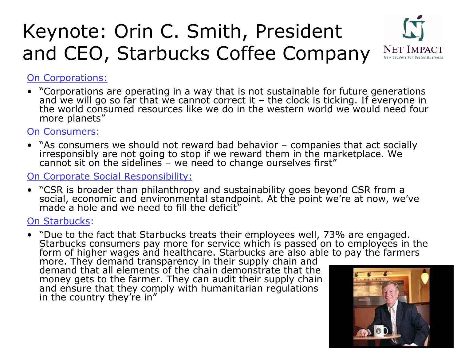## Keynote: Orin C. Smith, President and CEO, Starbucks Coffee Company



#### On Corporations:

• "Corporations are operating in a way that is not sustainable for future generations and we will go so far that we cannot correct it – and we will go so far that we cannot correct it – the clock is ticking. If everyone in<br>the world consumed resources like we do in the western world we would need four more planets"

#### On Consumers:

• "As consumers we should not reward bad behavior – "As consumers we should not reward bad behavior – companies that act socially<br>irresponsibly are not going to stop if we reward them in the marketplace. We<br>cannot sit on the sidelines – we need to change ourselves first"

#### On Corporate Social Responsibility:

• "CSR is broader than philanthropy and sustainability goes beyond CSR from a<br>social, economic and environmental standpoint. At the point we're at now, we've<br>made a hole and we need to fill the deficit"

#### On Starbucks:

• "Due to the fact that Starbucks treats their employees well, 73% "Due to the fact that Starbucks treats their employees well, 73% are engaged.<br>Starbucks consumers pay more for service which is passed on to employees in the<br>form of higher wages and healthcare. Starbucks are also able to form of higher wages and healthcare. Starbucks are also able to pay the farmers<br>more. They demand transparency in their supply chain and

more. They demand transparency in their supply chain and<br>demand that all elements of the chain demonstrate that the money gets to the farmer. T hey can audit their supply chain and ensure that they com ply with humanitarian r egulations in the country they're in"

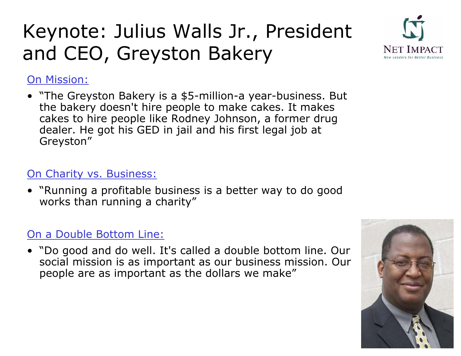# Keynote: Julius Walls Jr., President and CEO, Greyston Bakery



### On Mission:

• "The Greyston Bakery is a \$5-million-a year-business. But the bakery doesn't hire people to make cakes. It makes cakes to hire people like Rodney Johnson, a former drug dealer. He got his GED i n jail and his first legal job at Greyston"

### On Charity vs. Business:

• "Running a profitable business is a better way to do good works than running a charity"

### On a Double Bottom Line:

• "Do good and do well. It's called a double bottom line. Our social mission is as important as our business mission. Our people are as important as the dollars we make"

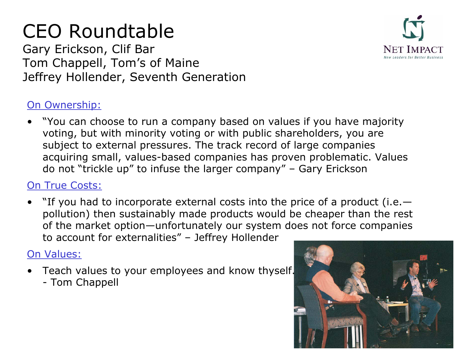# CEO Roundtable

Gary Erickson, Clif Bar Tom Chappell, Tom's of Maine Jeffrey Hollender, Seventh Generation

### On Ownership:

• "You can choose to run a company based on values if you have majority voting, but with minority voting or with public shareholders, you are subject to external pressures. The track record of large companies acquiring small, values-based companies has proven problematic. Values do not "trickle up" to infuse the larger company" – Gary Erickson

### On True Costs:

• "If you had to incorporate external costs into the price of a product (i.e. pollution) then sustainably made products would be cheaper than the rest of the market option—unfortunately our system does not force companies to account for externalities" – Jeffrey Hollender

### On Values:

- Teach values to your employees and know thyself.
	- Tom Chappell